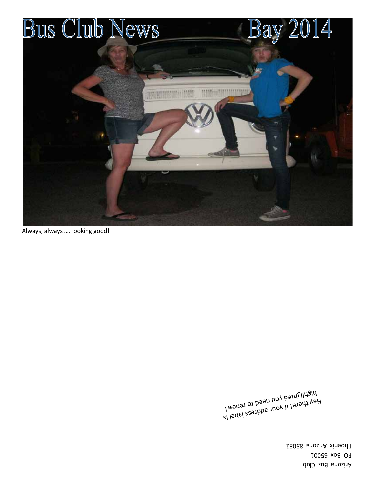Arizona Bus Club PO Box 65001 Phoenix Arizona 85082

i laddl een bour address label is highted you need to renew!  $\frac{100 \text{ N}}{1000 \text{ N}}$ 

Always, always …. looking good!

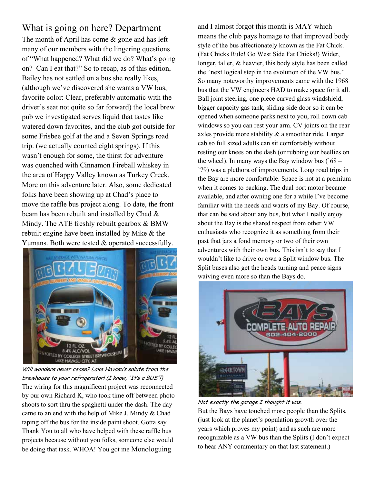#### What is going on here? Department The month of April has come & gone and has left many of our members with the lingering questions of "What happened? What did we do? What's going on? Can I eat that?" So to recap, as of this edition, Bailey has not settled on a bus she really likes, (although we've discovered she wants a VW bus, favorite color: Clear, preferably automatic with the driver's seat not quite so far forward) the local brew pub we investigated serves liquid that tastes like watered down favorites, and the club got outside for some Frisbee golf at the and a Seven Springs road trip. (we actually counted eight springs). If this wasn't enough for some, the thirst for adventure was quenched with Cinnamon Fireball whiskey in the area of Happy Valley known as Turkey Creek. More on this adventure later. Also, some dedicated folks have been showing up at Chad's place to move the raffle bus project along. To date, the front beam has been rebuilt and installed by Chad & Mindy. The ATE freshly rebuilt gearbox & BMW rebuilt engine have been installed by Mike & the Yumans. Both were tested & operated successfully.



Will wonders never cease? Lake Havasu's salute from the brewhouse to your refrigerator! (I know, "It's a BUS"!) The wiring for this magnificent project was reconnected by our own Richard K, who took time off between photo shoots to sort thru the spaghetti under the dash. The day came to an end with the help of Mike J, Mindy & Chad taping off the bus for the inside paint shoot. Gotta say Thank You to all who have helped with these raffle bus projects because without you folks, someone else would be doing that task. WHOA! You got me Monologuing

and I almost forgot this month is MAY which means the club pays homage to that improved body style of the bus affectionately known as the Fat Chick. (Fat Chicks Rule! Go West Side Fat Chicks!) Wider, longer, taller, & heavier, this body style has been called the "next logical step in the evolution of the VW bus." So many noteworthy improvements came with the 1968 bus that the VW engineers HAD to make space for it all. Ball joint steering, one piece curved glass windshield, bigger capacity gas tank, sliding side door so it can be opened when someone parks next to you, roll down cab windows so you can rest your arm. CV joints on the rear axles provide more stability & a smoother ride. Larger cab so full sized adults can sit comfortably without resting our knees on the dash (or rubbing our beellies on the wheel). In many ways the Bay window bus  $(68 -$ '79) was a plethora of improvements. Long road trips in the Bay are more comfortable. Space is not at a premium when it comes to packing. The dual port motor became available, and after owning one for a while I've become familiar with the needs and wants of my Bay. Of course, that can be said about any bus, but what I really enjoy about the Bay is the shared respect from other VW enthusiasts who recognize it as something from their past that jars a fond memory or two of their own adventures with their own bus. This isn't to say that I wouldn't like to drive or own a Split window bus. The Split buses also get the heads turning and peace signs waiving even more so than the Bays do.



Not exactly the garage I thought it was. But the Bays have touched more people than the Splits, (just look at the planet's population growth over the years which proves my point) and as such are more recognizable as a VW bus than the Splits (I don't expect to hear ANY commentary on that last statement.)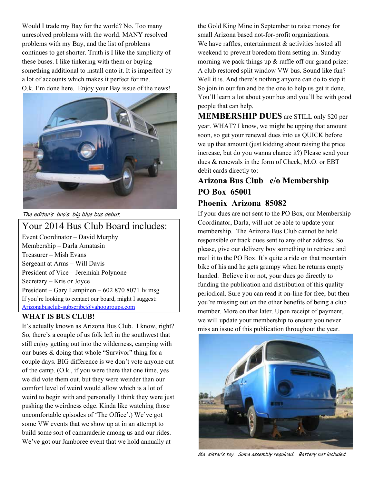Would I trade my Bay for the world? No. Too many unresolved problems with the world. MANY resolved problems with my Bay, and the list of problems continues to get shorter. Truth is I like the simplicity of these buses. I like tinkering with them or buying something additional to install onto it. It is imperfect by a lot of accounts which makes it perfect for me. O.k. I'm done here. Enjoy your Bay issue of the news!



The editor's bro's big blue bus debut.

#### Your 2014 Bus Club Board includes: Event Coordinator – David Murphy Membership – Darla Amatasin Treasurer – Mish Evans Sergeant at Arms – Will Davis President of Vice – Jeremiah Polynone Secretary – Kris or Joyce President – Gary Lampinen – 602 870 8071 lv msg If you're looking to contact our board, might I suggest:

Arizonabusclub-subscribe@yahoogroups.com

#### **WHAT IS BUS CLUB!**

It's actually known as Arizona Bus Club. I know, right? So, there's a couple of us folk left in the southwest that still enjoy getting out into the wilderness, camping with our buses & doing that whole "Survivor" thing for a couple days. BIG difference is we don't vote anyone out of the camp. (O.k., if you were there that one time, yes we did vote them out, but they were weirder than our comfort level of weird would allow which is a lot of weird to begin with and personally I think they were just pushing the weirdness edge. Kinda like watching those uncomfortable episodes of 'The Office'.) We've got some VW events that we show up at in an attempt to build some sort of camaraderie among us and our rides. We've got our Jamboree event that we hold annually at

the Gold King Mine in September to raise money for small Arizona based not-for-profit organizations. We have raffles, entertainment & activities hosted all weekend to prevent boredom from setting in. Sunday morning we pack things up & raffle off our grand prize: A club restored split window VW bus. Sound like fun? Well it is. And there's nothing anyone can do to stop it. So join in our fun and be the one to help us get it done. You'll learn a lot about your bus and you'll be with good people that can help.

**MEMBERSHIP DUES** are STILL only \$20 per year. WHAT? I know, we might be upping that amount soon, so get your renewal dues into us QUICK before we up that amount (just kidding about raising the price increase, but do you wanna chance it?) Please send your dues & renewals in the form of Check, M.O. or EBT debit cards directly to:

#### **Arizona Bus Club c/o Membership PO Box 65001 Phoenix Arizona 85082**

If your dues are not sent to the PO Box, our Membership Coordinator, Darla, will not be able to update your membership. The Arizona Bus Club cannot be held responsible or track dues sent to any other address. So please, give our delivery boy something to retrieve and mail it to the PO Box. It's quite a ride on that mountain bike of his and he gets grumpy when he returns empty handed. Believe it or not, your dues go directly to funding the publication and distribution of this quality periodical. Sure you can read it on-line for free, but then you're missing out on the other benefits of being a club member. More on that later. Upon receipt of payment, we will update your membership to ensure you never miss an issue of this publication throughout the year.



Me sister's toy. Some assembly required. Battery not included.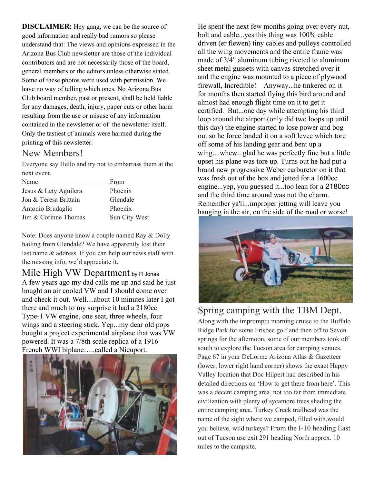**DISCLAIMER:** Hey gang, we can be the source of good information and really bad rumors so please understand that: The views and opinions expressed in the Arizona Bus Club newsletter are those of the individual contributors and are not necessarily those of the board, general members or the editors unless otherwise stated. Some of these photos were used with permission. We have no way of telling which ones. No Arizona Bus Club board member, past or present, shall be held liable for any damages, death, injury, paper cuts or other harm resulting from the use or misuse of any information contained in the newsletter or of the newsletter itself. Only the tastiest of animals were harmed during the printing of this newsletter.

### New Members!

Everyone say Hello and try not to embarrass them at the next event.

| Name                  | From          |
|-----------------------|---------------|
| Jesus & Lety Aguilera | Phoenix       |
| Jon & Teresa Brittain | Glendale      |
| Antonio Brudaglio     | Phoenix       |
| Jim & Corinne Thomas  | Sun City West |

Note: Does anyone know a couple named Ray & Dolly hailing from Glendale? We have apparently lost their last name & address. If you can help our news staff with the missing info, we'd appreciate it.

Mile High VW Department by R Jonas A few years ago my dad calls me up and said he just bought an air cooled VW and I should come over and check it out. Well....about 10 minutes later I got there and much to my surprise it had a 2180cc Type-1 VW engine, one seat, three wheels, four wings and a steering stick. Yep...my dear old pops bought a project experimental airplane that was VW powered. It was a 7/8th scale replica of a 1916 French WWI biplane…..called a Nieuport.



He spent the next few months going over every nut, bolt and cable...yes this thing was 100% cable driven (er flewen) tiny cables and pulleys controlled all the wing movements and the entire frame was made of 3/4" aluminum tubing riveted to aluminum sheet metal gussets with canvas stretched over it and the engine was mounted to a piece of plywood firewall, Incredible! Anyway...he tinkered on it for months then started flying this bird around and almost had enough flight time on it to get it certified. But...one day while attempting his third loop around the airport (only did two loops up until this day) the engine started to lose power and bog out so he force landed it on a soft levee which tore off some of his landing gear and bent up a wing....whew...glad he was perfectly fine but a little upset his plane was tore up. Turns out he had put a brand new progressive Weber carburetor on it that was fresh out of the box and jetted for a 1600cc engine...yep, you guessed it...too lean for a 2180cc and the third time around was not the charm. Remember ya'll...improper jetting will leave you hanging in the air, on the side of the road or worse!



### Spring camping with the TBM Dept.

Along with the impromptu morning cruise to the Buffalo Ridge Park for some Frisbee golf and then off to Seven springs for the afternoon, some of our members took off south to explore the Tucson area for camping venues. Page 67 in your DeLorme Arizona Atlas & Gazetteer (lower, lower right hand corner) shows the exact Happy Valley location that Doc Hilpert had described in his detailed directions on 'How to get there from here'. This was a decent camping area, not too far from immediate civilization with plenty of sycamore trees shading the entire camping area. Turkey Creek trailhead was the name of the sight where we camped, filled with,would you believe, wild turkeys? From the I-10 heading East out of Tucson use exit 291 heading North approx. 10 miles to the campsite.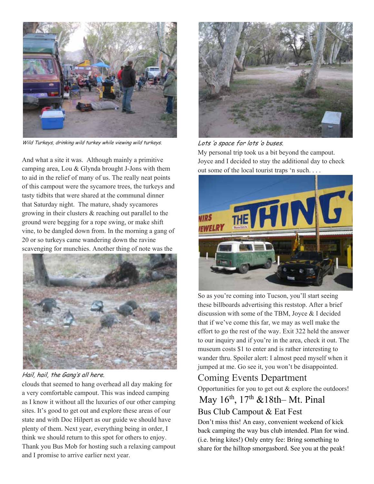

Wild Turkeys, drinking wild turkey while viewing wild turkeys.

And what a site it was. Although mainly a primitive camping area, Lou & Glynda brought J-Jons with them to aid in the relief of many of us. The really neat points of this campout were the sycamore trees, the turkeys and tasty tidbits that were shared at the communal dinner that Saturday night. The mature, shady sycamores growing in their clusters & reaching out parallel to the ground were begging for a rope swing, or make shift vine, to be dangled down from. In the morning a gang of 20 or so turkeys came wandering down the ravine scavenging for munchies. Another thing of note was the



Hail, hail, the Gang's all here.

clouds that seemed to hang overhead all day making for a very comfortable campout. This was indeed camping as I know it without all the luxuries of our other camping sites. It's good to get out and explore these areas of our state and with Doc Hilpert as our guide we should have plenty of them. Next year, everything being in order, I think we should return to this spot for others to enjoy. Thank you Bus Mob for hosting such a relaxing campout and I promise to arrive earlier next year.



Lots 'o space for lots 'o buses.

My personal trip took us a bit beyond the campout. Joyce and I decided to stay the additional day to check out some of the local tourist traps 'n such. . . .



So as you're coming into Tucson, you'll start seeing these billboards advertising this reststop. After a brief discussion with some of the TBM, Joyce & I decided that if we've come this far, we may as well make the effort to go the rest of the way. Exit 322 held the answer to our inquiry and if you're in the area, check it out. The museum costs \$1 to enter and is rather interesting to wander thru. Spoiler alert: I almost peed myself when it jumped at me. Go see it, you won't be disappointed.

### Coming Events Department

Opportunities for you to get out & explore the outdoors!

### May 16th, 17th &18th– Mt. Pinal Bus Club Campout & Eat Fest

Don't miss this! An easy, convenient weekend of kick back camping the way bus club intended. Plan for wind. (i.e. bring kites!) Only entry fee: Bring something to share for the hilltop smorgasbord. See you at the peak!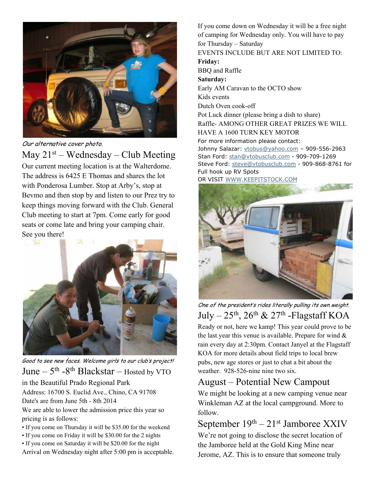

Our alternative cover photo.

May  $21^{st}$  – Wednesday – Club Meeting Our current meeting location is at the Walterdome. The address is 6425 E Thomas and shares the lot with Ponderosa Lumber. Stop at Arby's, stop at Bevmo and then stop by and listen to our Prez try to keep things moving forward with the Club. General Club meeting to start at 7pm. Come early for good seats or come late and bring your camping chair. See you there!



Good to see new faces. Welcome girls to our club's project!

June  $-5$ <sup>th</sup> -8<sup>th</sup> Blackstar – Hosted by VTO

in the Beautiful Prado Regional Park Address: 16700 S. Euclid Ave., Chino, CA 91708 Date's are from June 5th - 8th 2014

We are able to lower the admission price this year so pricing is as follows:

• If you come on Thursday it will be \$35.00 for the weekend

• If you come on Friday it will be \$30.00 for the 2 nights

• If you come on Saturday it will be \$20.00 for the night

Arrival on Wednesday night after 5:00 pm is acceptable.

If you come down on Wednesday it will be a free night of camping for Wednesday only. You will have to pay for Thursday – Saturday EVENTS INCLUDE BUT ARE NOT LIMITED TO: **Friday:**  BBQ and Raffle **Saturday:**  Early AM Caravan to the OCTO show Kids events Dutch Oven cook-off Pot Luck dinner (please bring a dish to share) Raffle- AMONG OTHER GREAT PRIZES WE WILL HAVE A 1600 TURN KEY MOTOR For more information please contact: Johnny Salazar: vtobus@yahoo.com – 909-556-2963 Stan Ford: stan@vtobusclub.com - 909-709-1269 Steve Ford: steve@vtobusclub.com - 909-868-8761 for Full hook up RV Spots OR VISIT WWW.KEEPITSTOCK.COM



One of the president's rides literally pulling its own weight. July –  $25<sup>th</sup>$ ,  $26<sup>th</sup>$  &  $27<sup>th</sup>$  -Flagstaff KOA Ready or not, here we kamp! This year could prove to be the last year this venue is available. Prepare for wind  $\&$ rain every day at 2:30pm. Contact Janyel at the Flagstaff KOA for more details about field trips to local brew pubs, new age stores or just to chat a bit about the

### weather. 928-526-nine nine two six.

### August – Potential New Campout

We might be looking at a new camping venue near Winkleman AZ at the local campground. More to follow.

## September  $19<sup>th</sup> - 21<sup>st</sup>$  Jamboree XXIV

We're not going to disclose the secret location of the Jamboree held at the Gold King Mine near Jerome, AZ. This is to ensure that someone truly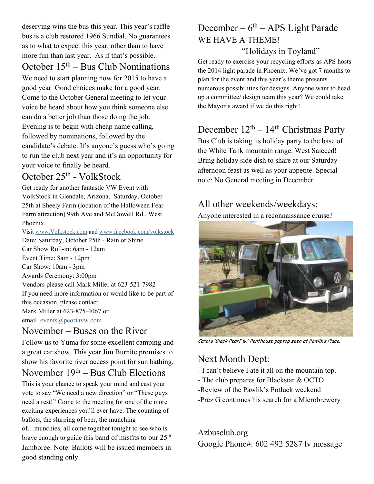deserving wins the bus this year. This year's raffle bus is a club restored 1966 Sundial. No guarantees as to what to expect this year, other than to have more fun than last year. As if that's possible.

### October  $15<sup>th</sup> - Bus Club Nominations$

We need to start planning now for 2015 to have a good year. Good choices make for a good year. Come to the October General meeting to let your voice be heard about how you think someone else can do a better job than those doing the job. Evening is to begin with cheap name calling, followed by nominations, followed by the candidate's debate. It's anyone's guess who's going to run the club next year and it's an opportunity for your voice to finally be heard.

### October 25th - VolkStock

Get ready for another fantastic VW Event with VolkStock in Glendale, Arizona, Saturday, October 25th at Sheely Farm (location of the Halloween Fear Farm attraction) 99th Ave and McDowell Rd., West Phoenix.

Visit www.Volkstock.com and www.facebook.com/volkstock Date: Saturday, October 25th - Rain or Shine Car Show Roll-in: 6am - 12am Event Time: 8am - 12pm Car Show: 10am - 3pm Awards Ceremony: 3:00pm Vendors please call Mark Miller at 623-521-7982 If you need more information or would like to be part of this occasion, please contact Mark Miller at 623-875-4067 or email events@peoriavw.com

### November – Buses on the River

Follow us to Yuma for some excellent camping and a great car show. This year Jim Burnite promises to show his favorite river access point for sun bathing.

### November  $19<sup>th</sup> - Bus Club Electronics$

This is your chance to speak your mind and cast your vote to say "We need a new direction" or "These guys need a rest!" Come to the meeting for one of the more exciting experiences you'll ever have. The counting of ballots, the slurping of beer, the munching

of…munchies, all come together tonight to see who is brave enough to guide this band of misfits to our  $25<sup>th</sup>$ Jamboree. Note: Ballots will be issued members in good standing only.

# December –  $6<sup>th</sup>$  – APS Light Parade WE HAVE A THEME!

#### "Holidays in Toyland"

Get ready to exercise your recycling efforts as APS hosts the 2014 light parade in Phoenix. We've got 7 months to plan for the event and this year's theme presents numerous possibilities for designs. Anyone want to head up a committee/ design team this year? We could take the Mayor's award if we do this right!

### December  $12<sup>th</sup> - 14<sup>th</sup>$  Christmas Party

Bus Club is taking its holiday party to the base of the White Tank mountain range. West Saieeed! Bring holiday side dish to share at our Saturday afternoon feast as well as your appetite. Special note: No General meeting in December.

### All other weekends/weekdays:

Anyone interested in a reconnaissance cruise?



Carol's 'Black Pearl' w/ Penthouse poptop seen at Pawlik's Place.

# Next Month Dept:

- I can't believe I ate it all on the mountain top.
- The club prepares for Blackstar & OCTO
- -Review of the Pawlik's Potluck weekend
- -Prez G continues his search for a Microbrewery

Azbusclub.org Google Phone#: 602 492 5287 lv message